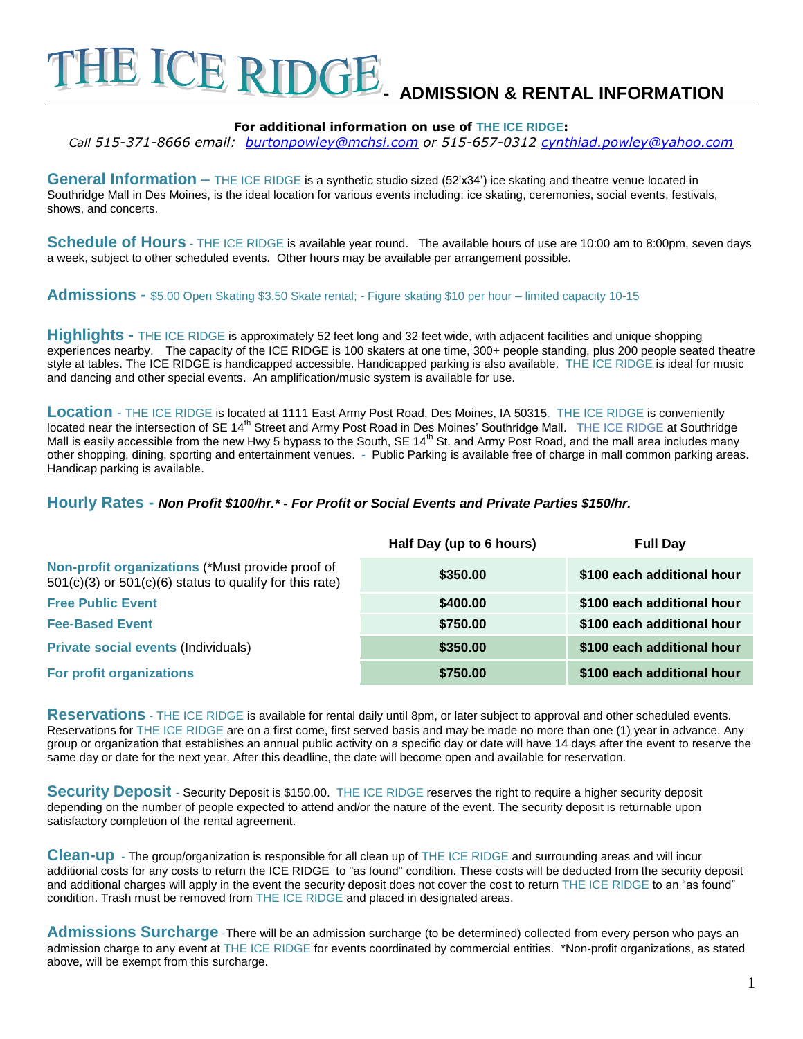# E ICE RIDGI **- ADMISSION & RENTAL INFORMATION**

#### **For additional information on use of THE ICE RIDGE:**

*Call 515-371-8666 email: [burtonpowley@mchsi.com](mailto:burtonpowley@mchsi.com) or 515-657-0312 [cynthiad.powley@yahoo.com](mailto:cynthiad.powley@yahoo.com)*

General Information – THE ICE RIDGE is a synthetic studio sized (52'x34') ice skating and theatre venue located in Southridge Mall in Des Moines, is the ideal location for various events including: ice skating, ceremonies, social events, festivals, shows, and concerts.

Schedule of Hours - THE ICE RIDGE is available year round. The available hours of use are 10:00 am to 8:00pm, seven days a week, subject to other scheduled events. Other hours may be available per arrangement possible.

**Admissions -** \$5.00 Open Skating \$3.50 Skate rental; - Figure skating \$10 per hour – limited capacity 10-15

**Highlights -** THE ICE RIDGE is approximately 52 feet long and 32 feet wide, with adjacent facilities and unique shopping experiences nearby. The capacity of the ICE RIDGE is 100 skaters at one time, 300+ people standing, plus 200 people seated theatre style at tables. The ICE RIDGE is handicapped accessible. Handicapped parking is also available. THE ICE RIDGE is ideal for music and dancing and other special events. An amplification/music system is available for use.

**Location** - THE ICE RIDGE is located at 1111 East Army Post Road, Des Moines, IA 50315. THE ICE RIDGE is conveniently located near the intersection of SE 14<sup>th</sup> Street and Army Post Road in Des Moines' Southridge Mall. THE ICE RIDGE at Southridge Mall is easily accessible from the new Hwy 5 bypass to the South, SE 14<sup>th</sup> St. and Army Post Road, and the mall area includes many other shopping, dining, sporting and entertainment venues. - Public Parking is available free of charge in mall common parking areas. Handicap parking is available.

#### **Hourly Rates -** *Non Profit \$100/hr.\* - For Profit or Social Events and Private Parties \$150/hr.*

|                                                                                                                 | Half Day (up to 6 hours) | <b>Full Day</b>            |
|-----------------------------------------------------------------------------------------------------------------|--------------------------|----------------------------|
| Non-profit organizations (*Must provide proof of<br>$501(c)(3)$ or $501(c)(6)$ status to qualify for this rate) | \$350.00                 | \$100 each additional hour |
| <b>Free Public Event</b>                                                                                        | \$400.00                 | \$100 each additional hour |
| <b>Fee-Based Event</b>                                                                                          | \$750.00                 | \$100 each additional hour |
| <b>Private social events (Individuals)</b>                                                                      | \$350.00                 | \$100 each additional hour |
| <b>For profit organizations</b>                                                                                 | \$750.00                 | \$100 each additional hour |

**Reservations** - THE ICE RIDGE is available for rental daily until 8pm, or later subject to approval and other scheduled events. Reservations for THE ICE RIDGE are on a first come, first served basis and may be made no more than one (1) year in advance. Any group or organization that establishes an annual public activity on a specific day or date will have 14 days after the event to reserve the same day or date for the next year. After this deadline, the date will become open and available for reservation.

**Security Deposit** - Security Deposit is \$150.00. THE ICE RIDGE reserves the right to require a higher security deposit depending on the number of people expected to attend and/or the nature of the event. The security deposit is returnable upon satisfactory completion of the rental agreement.

**Clean-up** - The group/organization is responsible for all clean up of THE ICE RIDGE and surrounding areas and will incur additional costs for any costs to return the ICE RIDGE to "as found" condition. These costs will be deducted from the security deposit and additional charges will apply in the event the security deposit does not cover the cost to return THE ICE RIDGE to an "as found" condition. Trash must be removed from THE ICE RIDGE and placed in designated areas.

**Admissions Surcharge** -There will be an admission surcharge (to be determined) collected from every person who pays an admission charge to any event at THE ICE RIDGE for events coordinated by commercial entities. \*Non-profit organizations, as stated above, will be exempt from this surcharge.